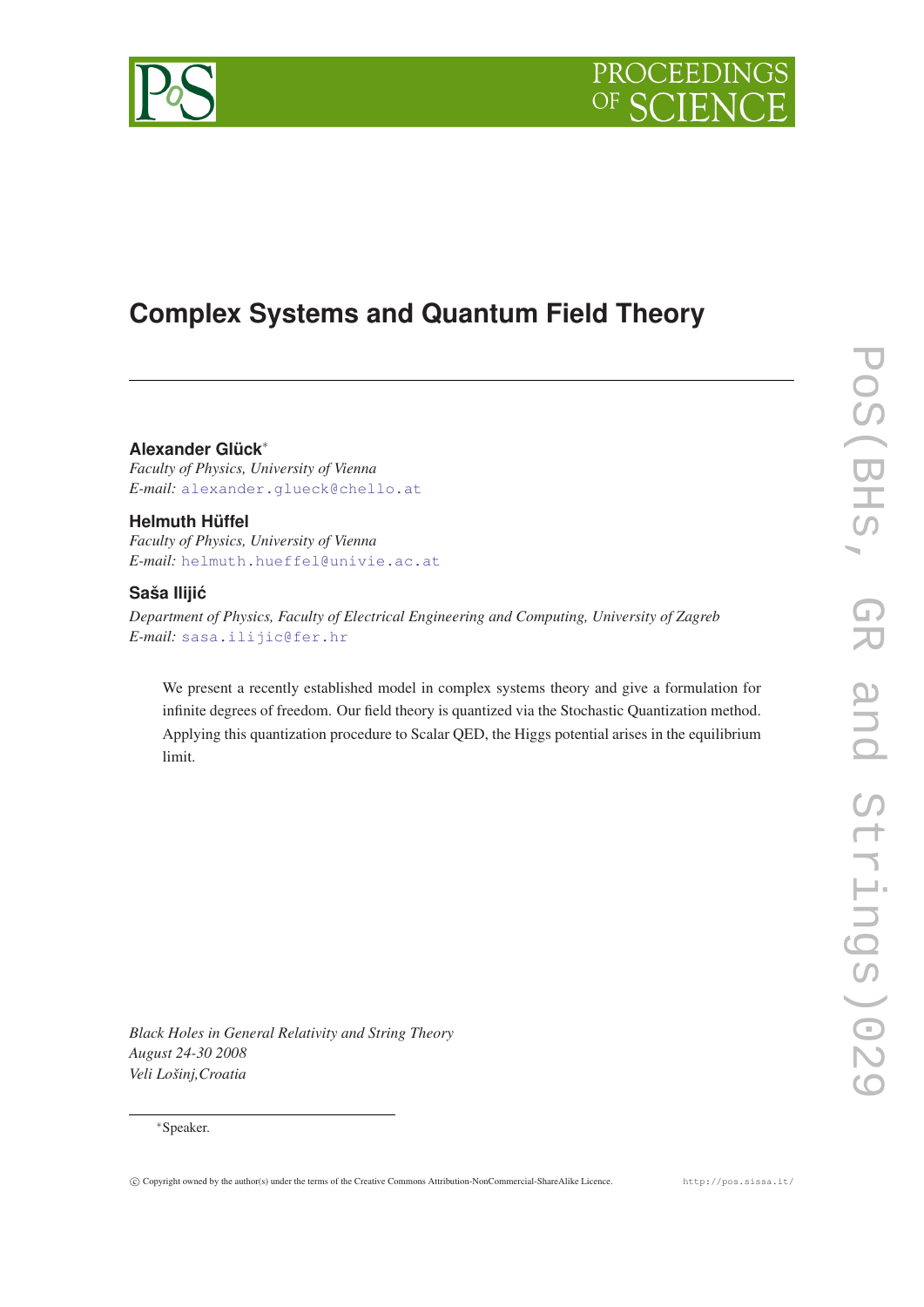

# **Complex Systems and Quantum Field Theory**

**Alexander Glück**<sup>∗</sup>

*Faculty of Physics, University of Vienna E-mail:* [alexander.glueck@chello.at](mailto:alexander.glueck@chello.at)

## **Helmuth Hüffel**

*Faculty of Physics, University of Vienna E-mail:* [helmuth.hueffel@univie.ac.at](mailto:helmuth.hueffel@univie.ac.at)

## **Saša Ilijic´**

*Department of Physics, Faculty of Electrical Engineering and Computing, University of Zagreb E-mail:* [sasa.ilijic@fer.hr](mailto:sasa.ilijic@fer.hr)

We present a recently established model in complex systems theory and give a formulation for infinite degrees of freedom. Our field theory is quantized via the Stochastic Quantization method. Applying this quantization procedure to Scalar QED, the Higgs potential arises in the equilibrium limit.

*Black Holes in General Relativity and String Theory August 24-30 2008 Veli Lošinj,Croatia*

## <sup>∗</sup>Speaker.

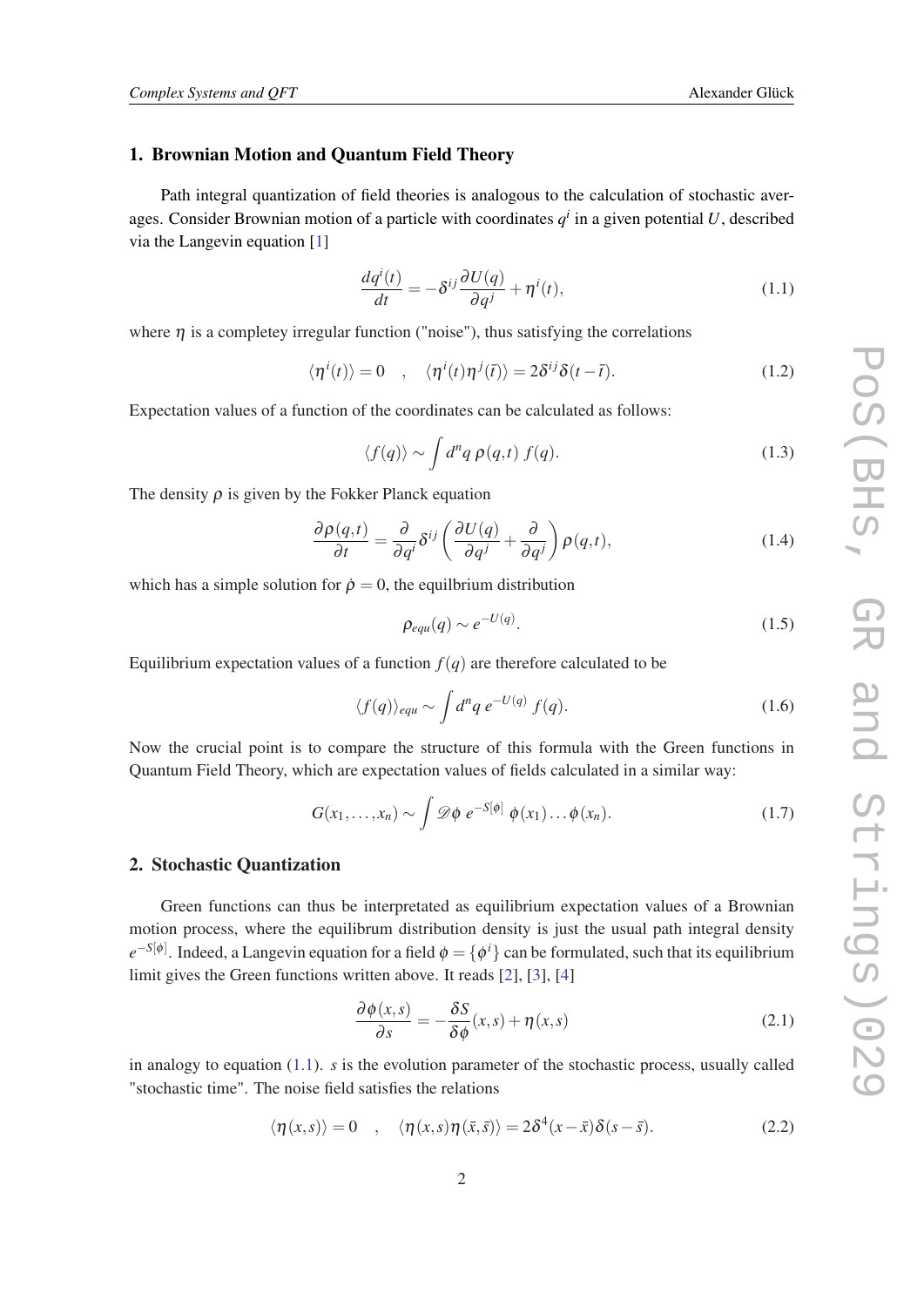## <span id="page-1-0"></span>1. Brownian Motion and Quantum Field Theory

Path integral quantization of field theories is analogous to the calculation of stochastic averages. Consider Brownian motion of a particle with coordinates  $q<sup>i</sup>$  in a given potential U, described via the Langevin equation [\[1](#page-4-0)]

$$
\frac{dq^{i}(t)}{dt} = -\delta^{ij}\frac{\partial U(q)}{\partial q^{j}} + \eta^{i}(t),
$$
\n(1.1)

where  $\eta$  is a completey irregular function ("noise"), thus satisfying the correlations

$$
\langle \eta^i(t) \rangle = 0 \quad , \quad \langle \eta^i(t) \eta^j(\bar{t}) \rangle = 2 \delta^{ij} \delta(t - \bar{t}). \tag{1.2}
$$

Expectation values of a function of the coordinates can be calculated as follows:

$$
\langle f(q) \rangle \sim \int d^n q \, \rho(q, t) \, f(q). \tag{1.3}
$$

The density  $\rho$  is given by the Fokker Planck equation

$$
\frac{\partial \rho(q,t)}{\partial t} = \frac{\partial}{\partial q^i} \delta^{ij} \left( \frac{\partial U(q)}{\partial q^j} + \frac{\partial}{\partial q^j} \right) \rho(q,t), \tag{1.4}
$$

which has a simple solution for  $\rho = 0$ , the equilibrium distribution

$$
\rho_{equ}(q) \sim e^{-U(q)}.\tag{1.5}
$$

Equilibrium expectation values of a function  $f(q)$  are therefore calculated to be

$$
\langle f(q) \rangle_{equ} \sim \int d^n q \, e^{-U(q)} \, f(q). \tag{1.6}
$$

Now the crucial point is to compare the structure of this formula with the Green functions in Quantum Field Theory, which are expectation values of fields calculated in a similar way:

$$
G(x_1,\ldots,x_n) \sim \int \mathscr{D}\phi \; e^{-S[\phi]} \; \phi(x_1)\ldots\phi(x_n). \tag{1.7}
$$

#### 2. Stochastic Quantization

Green functions can thus be interpretated as equilibrium expectation values of a Brownian motion process, where the equilibrum distribution density is just the usual path integral density  $e^{-S[\phi]}$ . Indeed, a Langevin equation for a field  $\phi = \{\phi^i\}$  can be formulated, such that its equilibrium limit gives the Green functions written above. It reads [\[2](#page-4-0)], [\[3\]](#page-4-0), [\[4\]](#page-4-0)

$$
\frac{\partial \phi(x,s)}{\partial s} = -\frac{\delta S}{\delta \phi}(x,s) + \eta(x,s)
$$
\n(2.1)

in analogy to equation (1.1). *s* is the evolution parameter of the stochastic process, usually called "stochastic time". The noise field satisfies the relations

$$
\langle \eta(x,s) \rangle = 0 \quad , \quad \langle \eta(x,s) \eta(\bar{x},\bar{s}) \rangle = 2\delta^4(x-\bar{x})\delta(s-\bar{s}). \tag{2.2}
$$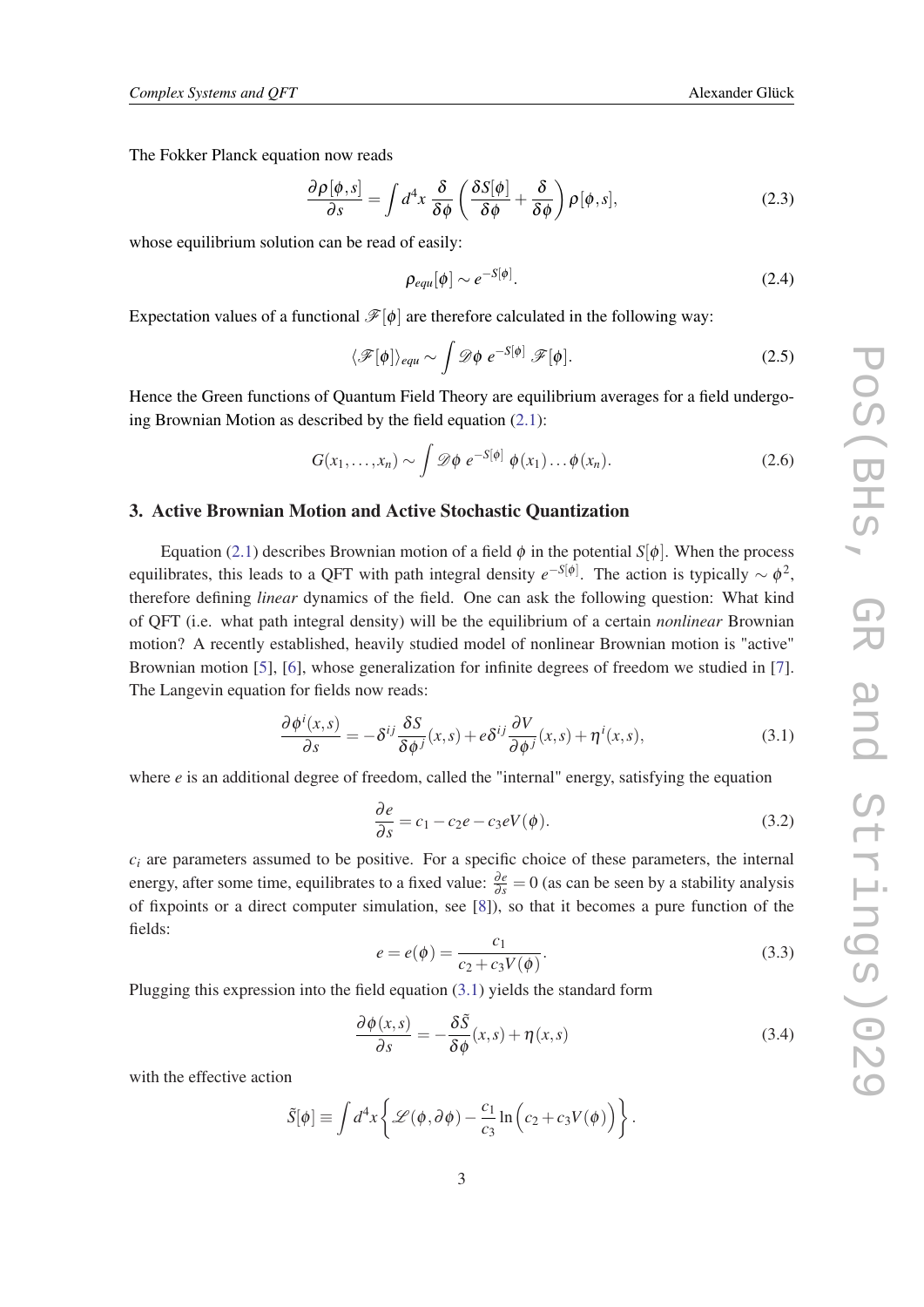<span id="page-2-0"></span>The Fokker Planck equation now reads

$$
\frac{\partial \rho[\phi,s]}{\partial s} = \int d^4x \, \frac{\delta}{\delta \phi} \left( \frac{\delta S[\phi]}{\delta \phi} + \frac{\delta}{\delta \phi} \right) \rho[\phi,s],\tag{2.3}
$$

whose equilibrium solution can be read of easily:

$$
\rho_{equ}[\phi] \sim e^{-S[\phi]}.\tag{2.4}
$$

Expectation values of a functional  $\mathcal{F}[\phi]$  are therefore calculated in the following way:

$$
\langle \mathscr{F}[\phi] \rangle_{equ} \sim \int \mathscr{D}\phi \ e^{-S[\phi]} \mathscr{F}[\phi]. \tag{2.5}
$$

Hence the Green functions of Quantum Field Theory are equilibrium averages for a field undergoing Brownian Motion as described by the field equation  $(2.1)$  $(2.1)$ :

$$
G(x_1,\ldots,x_n)\sim \int \mathscr{D}\phi \; e^{-S[\phi]} \; \phi(x_1)\ldots\phi(x_n). \tag{2.6}
$$

#### 3. Active Brownian Motion and Active Stochastic Quantization

Equation [\(2.1\)](#page-1-0) describes Brownian motion of a field  $\phi$  in the potential *S*[ $\phi$ ]. When the process equilibrates, this leads to a QFT with path integral density  $e^{-S[\phi]}$ . The action is typically  $\sim \phi^2$ , therefore defining *linear* dynamics of the field. One can ask the following question: What kind of QFT (i.e. what path integral density) will be the equilibrium of a certain *nonlinear* Brownian motion? A recently established, heavily studied model of nonlinear Brownian motion is "active" Brownian motion [[5](#page-4-0)], [[6](#page-4-0)], whose generalization for infinite degrees of freedom we studied in [\[7\]](#page-4-0). The Langevin equation for fields now reads:

$$
\frac{\partial \phi^i(x,s)}{\partial s} = -\delta^{ij} \frac{\delta S}{\delta \phi^j}(x,s) + e^{\delta^{ij} \frac{\partial V}{\partial \phi^j}(x,s)} + \eta^i(x,s),\tag{3.1}
$$

where  $e$  is an additional degree of freedom, called the "internal" energy, satisfying the equation

$$
\frac{\partial e}{\partial s} = c_1 - c_2 e - c_3 eV(\phi). \tag{3.2}
$$

 $c_i$  are parameters assumed to be positive. For a specific choice of these parameters, the internal energy, after some time, equilibrates to a fixed value:  $\frac{\partial e}{\partial s} = 0$  (as can be seen by a stability analysis of fixpoints or a direct computer simulation, see [\[8\]](#page-4-0)), so that it becomes a pure function of the fields:

$$
e = e(\phi) = \frac{c_1}{c_2 + c_3 V(\phi)}.
$$
\n(3.3)

Plugging this expression into the field equation (3.1) yields the standard form

$$
\frac{\partial \phi(x,s)}{\partial s} = -\frac{\delta \tilde{S}}{\delta \phi}(x,s) + \eta(x,s)
$$
\n(3.4)

with the effective action

$$
\tilde{S}[\phi] \equiv \int d^4x \left\{ \mathcal{L}(\phi, \partial \phi) - \frac{c_1}{c_3} \ln \left( c_2 + c_3 V(\phi) \right) \right\}.
$$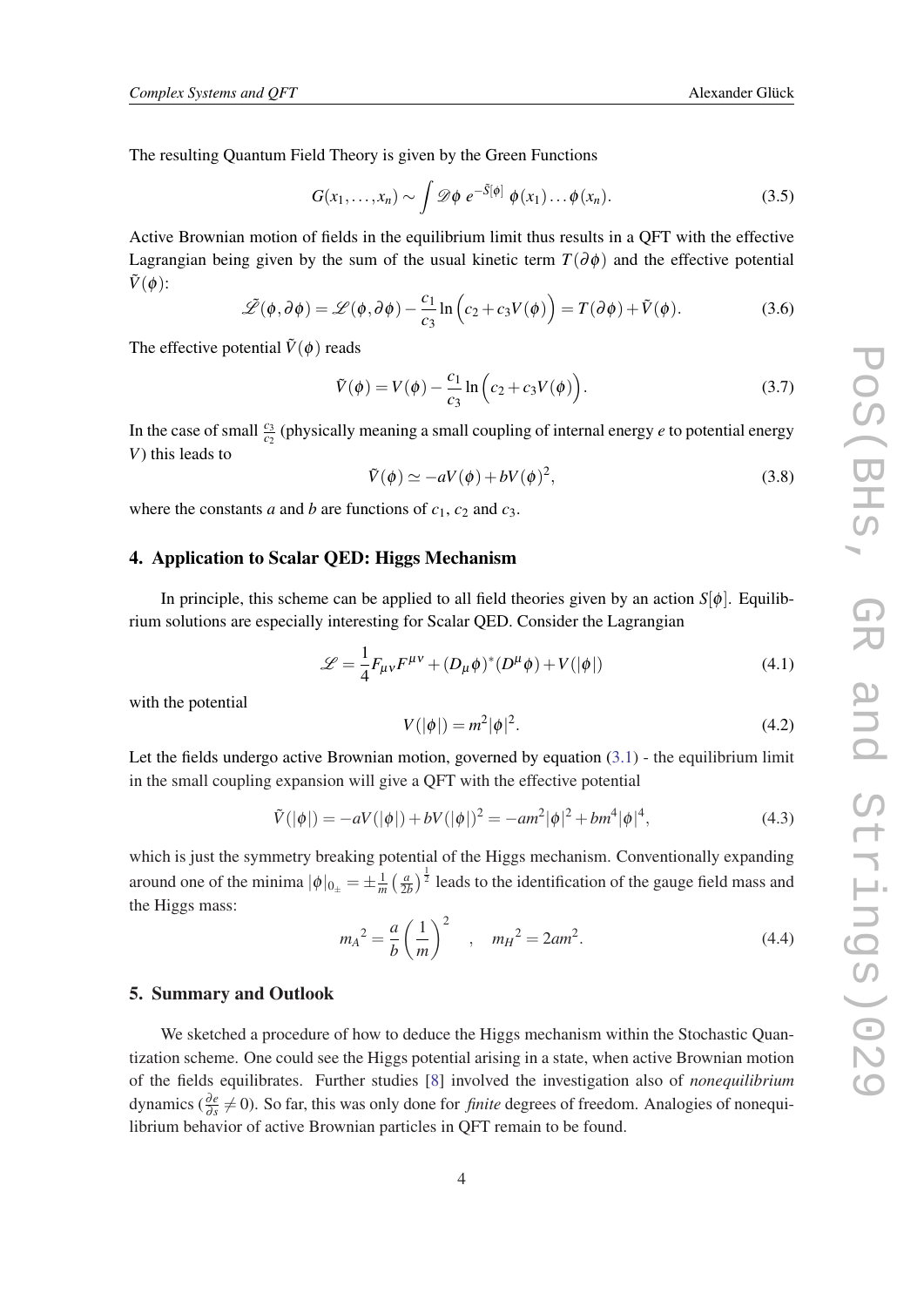The resulting Quantum Field Theory is given by the Green Functions

$$
G(x_1,\ldots,x_n)\sim \int \mathscr{D}\phi \; e^{-\tilde{S}[\phi]} \; \phi(x_1)\ldots\phi(x_n). \tag{3.5}
$$

Active Brownian motion of fields in the equilibrium limit thus results in a QFT with the effective Lagrangian being given by the sum of the usual kinetic term  $T(\partial \phi)$  and the effective potential  $\tilde{V}(\phi)$ :

$$
\tilde{\mathscr{L}}(\phi,\partial\phi) = \mathscr{L}(\phi,\partial\phi) - \frac{c_1}{c_3}\ln\left(c_2 + c_3V(\phi)\right) = T(\partial\phi) + \tilde{V}(\phi).
$$
 (3.6)

The effective potential  $\tilde{V}(\phi)$  reads

$$
\tilde{V}(\phi) = V(\phi) - \frac{c_1}{c_3} \ln \left( c_2 + c_3 V(\phi) \right). \tag{3.7}
$$

In the case of small  $\frac{c_3}{c_2}$  (physically meaning a small coupling of internal energy *e* to potential energy *V*) this leads to

$$
\tilde{V}(\phi) \simeq -aV(\phi) + bV(\phi)^2,\tag{3.8}
$$

where the constants *a* and *b* are functions of  $c_1$ ,  $c_2$  and  $c_3$ .

## 4. Application to Scalar QED: Higgs Mechanism

In principle, this scheme can be applied to all field theories given by an action  $S[\phi]$ . Equilibrium solutions are especially interesting for Scalar QED. Consider the Lagrangian

$$
\mathcal{L} = \frac{1}{4} F_{\mu\nu} F^{\mu\nu} + (D_{\mu}\phi)^{*} (D^{\mu}\phi) + V(|\phi|)
$$
\n(4.1)

with the potential

$$
V(|\phi|) = m^2 |\phi|^2.
$$
 (4.2)

Let the fields undergo active Brownian motion, governed by equation  $(3.1)$  $(3.1)$  - the equilibrium limit in the small coupling expansion will give a QFT with the effective potential

$$
\tilde{V}(|\phi|) = -aV(|\phi|) + bV(|\phi|)^2 = -am^2|\phi|^2 + bm^4|\phi|^4,
$$
\n(4.3)

which is just the symmetry breaking potential of the Higgs mechanism. Conventionally expanding around one of the minima  $|\phi|_{0_{\pm}} = \pm \frac{1}{m} \left( \frac{a}{2a} \right)$  $\left(\frac{a}{2b}\right)^{\frac{1}{2}}$  leads to the identification of the gauge field mass and the Higgs mass:

$$
m_A^2 = \frac{a}{b} \left(\frac{1}{m}\right)^2
$$
,  $m_H^2 = 2am^2$ . (4.4)

## 5. Summary and Outlook

We sketched a procedure of how to deduce the Higgs mechanism within the Stochastic Quantization scheme. One could see the Higgs potential arising in a state, when active Brownian motion of the fields equilibrates. Further studies [[8](#page-4-0)] involved the investigation also of *nonequilibrium* dynamics ( $\frac{\partial e}{\partial s} \neq 0$ ). So far, this was only done for *finite* degrees of freedom. Analogies of nonequilibrium behavior of active Brownian particles in QFT remain to be found.